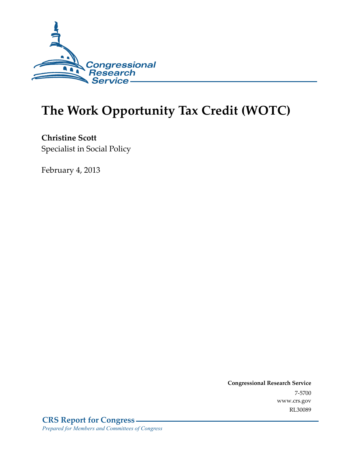

# **The Work Opportunity Tax Credit (WOTC)**

**Christine Scott**  Specialist in Social Policy

February 4, 2013

**Congressional Research Service**  7-5700 www.crs.gov RL30089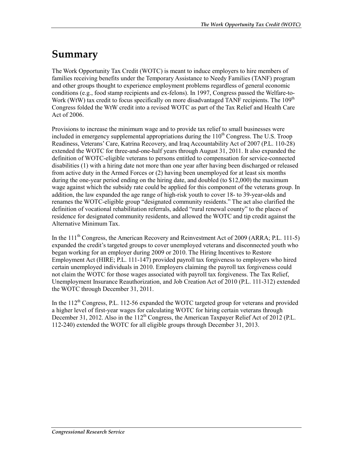## **Summary**

The Work Opportunity Tax Credit (WOTC) is meant to induce employers to hire members of families receiving benefits under the Temporary Assistance to Needy Families (TANF) program and other groups thought to experience employment problems regardless of general economic conditions (e.g., food stamp recipients and ex-felons). In 1997, Congress passed the Welfare-to-Work (WtW) tax credit to focus specifically on more disadvantaged TANF recipients. The  $109<sup>th</sup>$ Congress folded the WtW credit into a revised WOTC as part of the Tax Relief and Health Care Act of 2006.

Provisions to increase the minimum wage and to provide tax relief to small businesses were included in emergency supplemental appropriations during the  $110<sup>th</sup>$  Congress. The U.S. Troop Readiness, Veterans' Care, Katrina Recovery, and Iraq Accountability Act of 2007 (P.L. 110-28) extended the WOTC for three-and-one-half years through August 31, 2011. It also expanded the definition of WOTC-eligible veterans to persons entitled to compensation for service-connected disabilities (1) with a hiring date not more than one year after having been discharged or released from active duty in the Armed Forces or (2) having been unemployed for at least six months during the one-year period ending on the hiring date, and doubled (to \$12,000) the maximum wage against which the subsidy rate could be applied for this component of the veterans group. In addition, the law expanded the age range of high-risk youth to cover 18- to 39-year-olds and renames the WOTC-eligible group "designated community residents." The act also clarified the definition of vocational rehabilitation referrals, added "rural renewal county" to the places of residence for designated community residents, and allowed the WOTC and tip credit against the Alternative Minimum Tax.

In the  $111<sup>th</sup>$  Congress, the American Recovery and Reinvestment Act of 2009 (ARRA; P.L. 111-5) expanded the credit's targeted groups to cover unemployed veterans and disconnected youth who began working for an employer during 2009 or 2010. The Hiring Incentives to Restore Employment Act (HIRE; P.L. 111-147) provided payroll tax forgiveness to employers who hired certain unemployed individuals in 2010. Employers claiming the payroll tax forgiveness could not claim the WOTC for those wages associated with payroll tax forgiveness. The Tax Relief, Unemployment Insurance Reauthorization, and Job Creation Act of 2010 (P.L. 111-312) extended the WOTC through December 31, 2011.

In the  $112<sup>th</sup>$  Congress, P.L. 112-56 expanded the WOTC targeted group for veterans and provided a higher level of first-year wages for calculating WOTC for hiring certain veterans through December 31, 2012. Also in the  $112<sup>th</sup>$  Congress, the American Taxpayer Relief Act of 2012 (P.L. 112-240) extended the WOTC for all eligible groups through December 31, 2013.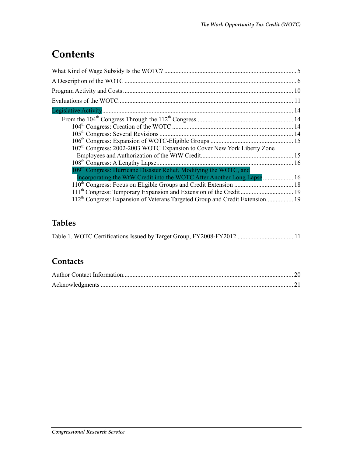## **Contents**

| Incorporating the WtW Credit into the WOTC After Another Long Lapse 16                   |
|------------------------------------------------------------------------------------------|
|                                                                                          |
|                                                                                          |
| 112 <sup>th</sup> Congress: Expansion of Veterans Targeted Group and Credit Extension 19 |
|                                                                                          |

### **Tables**

|  |  |  |  |  |  | Table 1. WOTC Certifications Issued by Target Group, FY2008-FY2012  11 |  |
|--|--|--|--|--|--|------------------------------------------------------------------------|--|
|--|--|--|--|--|--|------------------------------------------------------------------------|--|

### **Contacts**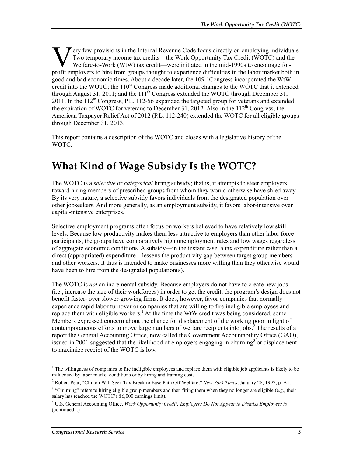ery few provisions in the Internal Revenue Code focus directly on employing individuals. Two temporary income tax credits—the Work Opportunity Tax Credit (WOTC) and the Welfare-to-Work (WtW) tax credit—were initiated in the mid-1990s to encourage for-**For the profit employing individuals.** Two temporary income tax credits—the Work Opportunity Tax Credit (WOTC) and the Welfare-to-Work (WtW) tax credit—were initiated in the mid-1990s to encourage for-profit employers to good and bad economic times. About a decade later, the 109<sup>th</sup> Congress incorporated the WtW credit into the WOTC; the  $110<sup>th</sup>$  Congress made additional changes to the WOTC that it extended through August 31, 2011; and the  $11<sup>th</sup>$  Congress extended the WOTC through December 31, 2011. In the  $112^{th}$  Congress, P.L. 112-56 expanded the targeted group for veterans and extended the expiration of WOTC for veterans to December 31, 2012. Also in the  $112<sup>th</sup>$  Congress, the American Taxpayer Relief Act of 2012 (P.L. 112-240) extended the WOTC for all eligible groups through December 31, 2013.

This report contains a description of the WOTC and closes with a legislative history of the WOTC.

## **What Kind of Wage Subsidy Is the WOTC?**

The WOTC is a *selective* or *categorical* hiring subsidy; that is, it attempts to steer employers toward hiring members of prescribed groups from whom they would otherwise have shied away. By its very nature, a selective subsidy favors individuals from the designated population over other jobseekers. And more generally, as an employment subsidy, it favors labor-intensive over capital-intensive enterprises.

Selective employment programs often focus on workers believed to have relatively low skill levels. Because low productivity makes them less attractive to employers than other labor force participants, the groups have comparatively high unemployment rates and low wages regardless of aggregate economic conditions. A subsidy—in the instant case, a tax expenditure rather than a direct (appropriated) expenditure—lessens the productivity gap between target group members and other workers. It thus is intended to make businesses more willing than they otherwise would have been to hire from the designated population(s).

The WOTC is *not* an incremental subsidy. Because employers do not have to create new jobs (i.e., increase the size of their workforces) in order to get the credit, the program's design does not benefit faster- over slower-growing firms. It does, however, favor companies that normally experience rapid labor turnover or companies that are willing to fire ineligible employees and replace them with eligible workers.<sup>1</sup> At the time the WtW credit was being considered, some Members expressed concern about the chance for displacement of the working poor in light of contemporaneous efforts to move large numbers of welfare recipients into jobs. ${}^{2}$  The results of a report the General Accounting Office, now called the Government Accountability Office (GAO), issued in 2001 suggested that the likelihood of employers engaging in churning<sup>3</sup> or displacement to maximize receipt of the WOTC is low.<sup>4</sup>

<sup>&</sup>lt;sup>1</sup> The willingness of companies to fire ineligible employees and replace them with eligible job applicants is likely to be influenced by labor market conditions or by hiring and training costs.

<sup>2</sup> Robert Pear, "Clinton Will Seek Tax Break to Ease Path Off Welfare," *New York Times*, January 28, 1997, p. A1.

<sup>&</sup>lt;sup>3</sup> "Churning" refers to hiring eligible group members and then firing them when they no longer are eligible (e.g., their salary has reached the WOTC's \$6,000 earnings limit).

<sup>4</sup> U.S. General Accounting Office, *Work Opportunity Credit: Employers Do Not Appear to Dismiss Employees to*  (continued...)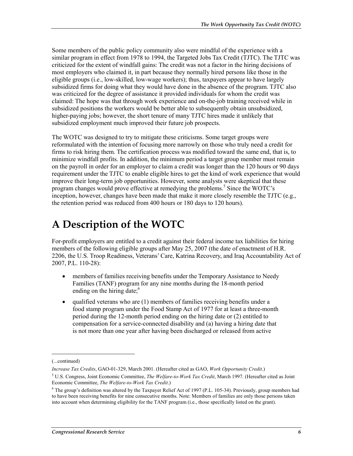Some members of the public policy community also were mindful of the experience with a similar program in effect from 1978 to 1994, the Targeted Jobs Tax Credit (TJTC). The TJTC was criticized for the extent of windfall gains: The credit was not a factor in the hiring decisions of most employers who claimed it, in part because they normally hired persons like those in the eligible groups (i.e., low-skilled, low-wage workers); thus, taxpayers appear to have largely subsidized firms for doing what they would have done in the absence of the program. TJTC also was criticized for the degree of assistance it provided individuals for whom the credit was claimed: The hope was that through work experience and on-the-job training received while in subsidized positions the workers would be better able to subsequently obtain unsubsidized, higher-paying jobs; however, the short tenure of many TJTC hires made it unlikely that subsidized employment much improved their future job prospects.

The WOTC was designed to try to mitigate these criticisms. Some target groups were reformulated with the intention of focusing more narrowly on those who truly need a credit for firms to risk hiring them. The certification process was modified toward the same end, that is, to minimize windfall profits. In addition, the minimum period a target group member must remain on the payroll in order for an employer to claim a credit was longer than the 120 hours or 90 days requirement under the TJTC to enable eligible hires to get the kind of work experience that would improve their long-term job opportunities. However, some analysts were skeptical that these program changes would prove effective at remedying the problems.<sup>5</sup> Since the WOTC's inception, however, changes have been made that make it more closely resemble the TJTC (e.g., the retention period was reduced from 400 hours or 180 days to 120 hours).

## **A Description of the WOTC**

For-profit employers are entitled to a credit against their federal income tax liabilities for hiring members of the following eligible groups after May 25, 2007 (the date of enactment of H.R. 2206, the U.S. Troop Readiness, Veterans' Care, Katrina Recovery, and Iraq Accountability Act of 2007, P.L. 110-28):

- members of families receiving benefits under the Temporary Assistance to Needy Families (TANF) program for any nine months during the 18-month period ending on the hiring date; $<sup>6</sup>$ </sup>
- qualified veterans who are (1) members of families receiving benefits under a food stamp program under the Food Stamp Act of 1977 for at least a three-month period during the 12-month period ending on the hiring date or (2) entitled to compensation for a service-connected disability and (a) having a hiring date that is not more than one year after having been discharged or released from active

<sup>(...</sup>continued)

*Increase Tax Credits*, GAO-01-329, March 2001. (Hereafter cited as GAO, *Work Opportunity Credit*.)

<sup>5</sup> U.S. Congress, Joint Economic Committee, *The Welfare-to-Work Tax Credit*, March 1997. (Hereafter cited as Joint Economic Committee, *The Welfare-to-Work Tax Credit*.)

 $6$  The group's definition was altered by the Taxpayer Relief Act of 1997 (P.L. 105-34). Previously, group members had to have been receiving benefits for nine consecutive months. Note: Members of families are only those persons taken into account when determining eligibility for the TANF program (i.e., those specifically listed on the grant).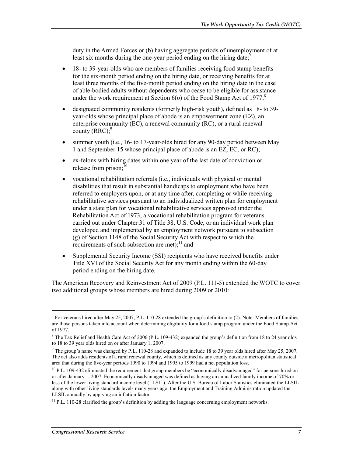duty in the Armed Forces or (b) having aggregate periods of unemployment of at least six months during the one-year period ending on the hiring date;

- 18- to 39-year-olds who are members of families receiving food stamp benefits for the six-month period ending on the hiring date, or receiving benefits for at least three months of the five-month period ending on the hiring date in the case of able-bodied adults without dependents who cease to be eligible for assistance under the work requirement at Section  $6(0)$  of the Food Stamp Act of 1977;<sup>8</sup>
- designated community residents (formerly high-risk youth), defined as 18- to 39 year-olds whose principal place of abode is an empowerment zone (EZ), an enterprise community (EC), a renewal community (RC), or a rural renewal county  $(RRC)$ :<sup>9</sup>
- summer youth (i.e., 16- to 17-year-olds hired for any 90-day period between May 1 and September 15 whose principal place of abode is an EZ, EC, or RC);
- ex-felons with hiring dates within one year of the last date of conviction or release from prison; $10$
- vocational rehabilitation referrals (i.e., individuals with physical or mental disabilities that result in substantial handicaps to employment who have been referred to employers upon, or at any time after, completing or while receiving rehabilitative services pursuant to an individualized written plan for employment under a state plan for vocational rehabilitative services approved under the Rehabilitation Act of 1973, a vocational rehabilitation program for veterans carried out under Chapter 31 of Title 38, U.S. Code, or an individual work plan developed and implemented by an employment network pursuant to subsection (g) of Section 1148 of the Social Security Act with respect to which the requirements of such subsection are met); $^{11}$  and
- Supplemental Security Income (SSI) recipients who have received benefits under Title XVI of the Social Security Act for any month ending within the 60-day period ending on the hiring date.

The American Recovery and Reinvestment Act of 2009 (P.L. 111-5) extended the WOTC to cover two additional groups whose members are hired during 2009 or 2010:

<sup>&</sup>lt;sup>7</sup> For veterans hired after May 25, 2007, P.L. 110-28 extended the group's definition to (2). Note: Members of families are those persons taken into account when determining eligibility for a food stamp program under the Food Stamp Act of 1977.

<sup>&</sup>lt;sup>8</sup> The Tax Relief and Health Care Act of 2006 (P.L. 109-432) expanded the group's definition from 18 to 24 year olds to 18 to 39 year olds hired on or after January 1, 2007.

<sup>&</sup>lt;sup>9</sup> The group's name was changed by P.L. 110-28 and expanded to include 18 to 39 year olds hired after May 25, 2007. The act also adds residents of a rural renewal county, which is defined as any county outside a metropolitan statistical area that during the five-year periods 1990 to 1994 and 1995 to 1999 had a net population loss.

<sup>&</sup>lt;sup>10</sup> P.L. 109-432 eliminated the requirement that group members be "economically disadvantaged" for persons hired on or after January 1, 2007. Economically disadvantaged was defined as having an annualized family income of 70% or less of the lower living standard income level (LLSIL). After the U.S. Bureau of Labor Statistics eliminated the LLSIL along with other living standards levels many years ago, the Employment and Training Administration updated the LLSIL annually by applying an inflation factor.

 $11$  P.L. 110-28 clarified the group's definition by adding the language concerning employment networks.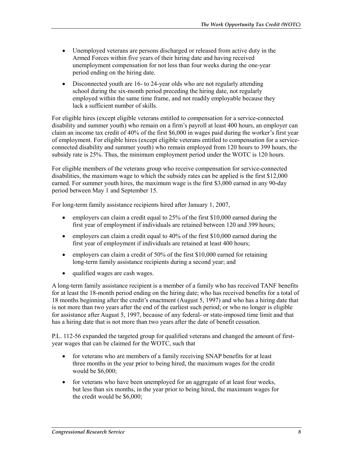- Unemployed veterans are persons discharged or released from active duty in the Armed Forces within five years of their hiring date and having received unemployment compensation for not less than four weeks during the one-year period ending on the hiring date.
- Disconnected youth are 16- to 24-year olds who are not regularly attending school during the six-month period preceding the hiring date, not regularly employed within the same time frame, and not readily employable because they lack a sufficient number of skills.

For eligible hires (except eligible veterans entitled to compensation for a service-connected disability and summer youth) who remain on a firm's payroll at least 400 hours, an employer can claim an income tax credit of 40% of the first \$6,000 in wages paid during the worker's first year of employment. For eligible hires (except eligible veterans entitled to compensation for a serviceconnected disability and summer youth) who remain employed from 120 hours to 399 hours, the subsidy rate is 25%. Thus, the minimum employment period under the WOTC is 120 hours.

For eligible members of the veterans group who receive compensation for service-connected disabilities, the maximum wage to which the subsidy rates can be applied is the first \$12,000 earned. For summer youth hires, the maximum wage is the first \$3,000 earned in any 90-day period between May 1 and September 15.

For long-term family assistance recipients hired after January 1, 2007,

- employers can claim a credit equal to 25% of the first \$10,000 earned during the first year of employment if individuals are retained between 120 and 399 hours;
- employers can claim a credit equal to 40% of the first \$10,000 earned during the first year of employment if individuals are retained at least 400 hours;
- employers can claim a credit of 50% of the first \$10,000 earned for retaining long-term family assistance recipients during a second year; and
- qualified wages are cash wages.

A long-term family assistance recipient is a member of a family who has received TANF benefits for at least the 18-month period ending on the hiring date; who has received benefits for a total of 18 months beginning after the credit's enactment (August 5, 1997) and who has a hiring date that is not more than two years after the end of the earliest such period; or who no longer is eligible for assistance after August 5, 1997, because of any federal- or state-imposed time limit and that has a hiring date that is not more than two years after the date of benefit cessation.

P.L. 112-56 expanded the targeted group for qualified veterans and changed the amount of firstyear wages that can be claimed for the WOTC, such that

- for veterans who are members of a family receiving SNAP benefits for at least three months in the year prior to being hired, the maximum wages for the credit would be \$6,000;
- for veterans who have been unemployed for an aggregate of at least four weeks, but less than six months, in the year prior to being hired, the maximum wages for the credit would be \$6,000;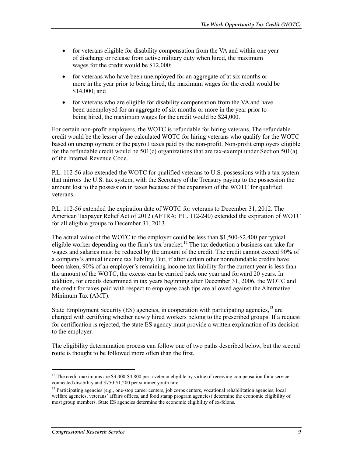- for veterans eligible for disability compensation from the VA and within one year of discharge or release from active military duty when hired, the maximum wages for the credit would be \$12,000;
- for veterans who have been unemployed for an aggregate of at six months or more in the year prior to being hired, the maximum wages for the credit would be \$14,000; and
- for veterans who are eligible for disability compensation from the VA and have been unemployed for an aggregate of six months or more in the year prior to being hired, the maximum wages for the credit would be \$24,000.

For certain non-profit employers, the WOTC is refundable for hiring veterans. The refundable credit would be the lesser of the calculated WOTC for hiring veterans who qualify for the WOTC based on unemployment or the payroll taxes paid by the non-profit. Non-profit employers eligible for the refundable credit would be  $501(c)$  organizations that are tax-exempt under Section  $501(a)$ of the Internal Revenue Code.

P.L. 112-56 also extended the WOTC for qualified veterans to U.S. possessions with a tax system that mirrors the U.S. tax system, with the Secretary of the Treasury paying to the possession the amount lost to the possession in taxes because of the expansion of the WOTC for qualified veterans.

P.L. 112-56 extended the expiration date of WOTC for veterans to December 31, 2012. The American Taxpayer Relief Act of 2012 (AFTRA; P.L. 112-240) extended the expiration of WOTC for all eligible groups to December 31, 2013.

The actual value of the WOTC to the employer could be less than \$1,500-\$2,400 per typical eligible worker depending on the firm's tax bracket.<sup>12</sup> The tax deduction a business can take for wages and salaries must be reduced by the amount of the credit. The credit cannot exceed 90% of a company's annual income tax liability. But, if after certain other nonrefundable credits have been taken, 90% of an employer's remaining income tax liability for the current year is less than the amount of the WOTC, the excess can be carried back one year and forward 20 years. In addition, for credits determined in tax years beginning after December 31, 2006, the WOTC and the credit for taxes paid with respect to employee cash tips are allowed against the Alternative Minimum Tax (AMT).

State Employment Security (ES) agencies, in cooperation with participating agencies.<sup>13</sup> are charged with certifying whether newly hired workers belong to the prescribed groups. If a request for certification is rejected, the state ES agency must provide a written explanation of its decision to the employer.

The eligibility determination process can follow one of two paths described below, but the second route is thought to be followed more often than the first.

 $12$  The credit maximums are \$3,000-\$4,800 per a veteran eligible by virtue of receiving compensation for a serviceconnected disability and \$750-\$1,200 per summer youth hire.

<sup>&</sup>lt;sup>13</sup> Participating agencies (e.g., one-stop career centers, job corps centers, vocational rehabilitation agencies, local welfare agencies, veterans' affairs offices, and food stamp program agencies) determine the economic eligibility of most group members. State ES agencies determine the economic eligibility of ex-felons.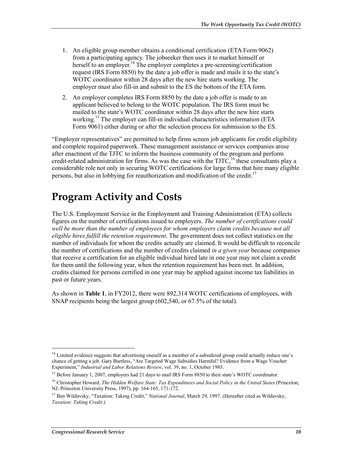- 1. An eligible group member obtains a conditional certification (ETA Form 9062) from a participating agency. The jobseeker then uses it to market himself or herself to an employer.<sup>14</sup> The employer completes a pre-screening/certification request (IRS Form 8850) by the date a job offer is made and mails it to the state's WOTC coordinator within 28 days after the new hire starts working. The employer must also fill-in and submit to the ES the bottom of the ETA form.
- 2. An employer completes IRS Form 8850 by the date a job offer is made to an applicant believed to belong to the WOTC population. The IRS form must be mailed to the state's WOTC coordinator within 28 days after the new hire starts working.<sup>15</sup> The employer can fill-in individual characteristics information (ETA) Form 9061) either during or after the selection process for submission to the ES.

"Employer representatives" are permitted to help firms screen job applicants for credit eligibility and complete required paperwork. These management assistance or services companies arose after enactment of the TJTC to inform the business community of the program and perform credit-related administration for firms. As was the case with the TJTC,<sup>16</sup> these consultants play a considerable role not only in securing WOTC certifications for large firms that hire many eligible persons, but also in lobbying for reauthorization and modification of the credit.<sup>17</sup>

## **Program Activity and Costs**

The U.S. Employment Service in the Employment and Training Administration (ETA) collects figures on the number of certifications issued to employers. *The number of certifications could*  well be more than the number of employees for whom employers claim credits because not all *eligible hires fulfill the retention requirement*. The government does not collect statistics on the number of individuals for whom the credits actually are claimed. It would be difficult to reconcile the number of certifications and the number of credits claimed *in a given year* because companies that receive a certification for an eligible individual hired late in one year may not claim a credit for them until the following year, when the retention requirement has been met. In addition, credits claimed for persons certified in one year may be applied against income tax liabilities in past or future years.

As shown in **Table 1**, in FY2012, there were 892,314 WOTC certifications of employees, with SNAP recipients being the largest group (602,540, or 67.5% of the total).

<sup>&</sup>lt;sup>14</sup> Limited evidence suggests that advertising oneself as a member of a subsidized group could actually reduce one's chance of getting a job. Gary Burtless, "Are Targeted Wage Subsidies Harmful? Evidence from a Wage Voucher Experiment," *Industrial and Labor Relations Review*, vol. 39, no. 1, October 1985.

<sup>&</sup>lt;sup>15</sup> Before January 1, 2007, employers had 21 days to mail IRS Form 8850 to their state's WOTC coordinator.

<sup>16</sup> Christopher Howard, *The Hidden Welfare State: Tax Expenditures and Social Policy in the United States* (Princeton, NJ: Princeton University Press, 1997), pp. 164-165, 171-172.

<sup>17</sup> Ben Wildavsky, "Taxation: Taking Credit," *National Journal*, March 29, 1997. (Hereafter cited as Wildavsky, *Taxation: Taking Credit*.)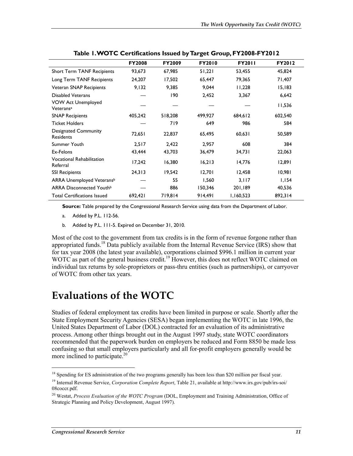|                                                    | <b>FY2008</b> | <b>FY2009</b> | <b>FY2010</b> | <b>FY2011</b> | <b>FY2012</b> |
|----------------------------------------------------|---------------|---------------|---------------|---------------|---------------|
| <b>Short Term TANF Recipients</b>                  | 93,673        | 67,985        | 51,221        | 53,455        | 45,824        |
| Long Term TANF Recipients                          | 24,207        | 17,502        | 65,447        | 79,365        | 71,407        |
| Veteran SNAP Recipients                            | 9,132         | 9,385         | 9,044         | 11,228        | 15,183        |
| <b>Disabled Veterans</b>                           |               | 190           | 2,452         | 3,367         | 6,642         |
| <b>VOW Act Unemployed</b><br>Veterans <sup>a</sup> |               |               |               |               | 11,536        |
| <b>SNAP Recipients</b>                             | 405,242       | 518,208       | 499,927       | 684,612       | 602,540       |
| <b>Ticket Holders</b>                              |               | 719           | 649           | 986           | 584           |
| <b>Designated Community</b><br><b>Residents</b>    | 72,651        | 22,837        | 65,495        | 60,631        | 50,589        |
| Summer Youth                                       | 2,517         | 2,422         | 2,957         | 608           | 384           |
| Ex-Felons                                          | 43,444        | 43,703        | 36,479        | 34,731        | 22,063        |
| <b>Vocational Rehabilitation</b><br>Referral       | 17,242        | 16,380        | 16,213        | 14,776        | 12,891        |
| <b>SSI Recipients</b>                              | 24,313        | 19,542        | 12,701        | 12,458        | 10,981        |
| ARRA Unemployed Veteransb                          |               | 55            | 1,560         | 3,117         | 1,154         |
| ARRA Disconnected Youth <sup>b</sup>               |               | 886           | 150,346       | 201,189       | 40,536        |
| <b>Total Certifications Issued</b>                 | 692,421       | 719.814       | 914,491       | 1,160,523     | 892,314       |

**Table 1. WOTC Certifications Issued by Target Group, FY2008-FY2012** 

**Source:** Table prepared by the Congressional Research Service using data from the Department of Labor.

- a. Added by P.L. 112-56.
- b. Added by P.L. 111-5. Expired on December 31, 2010.

Most of the cost to the government from tax credits is in the form of revenue forgone rather than appropriated funds.<sup>18</sup> Data publicly available from the Internal Revenue Service (IRS) show that for tax year 2008 (the latest year available), corporations claimed \$996.1 million in current year WOTC as part of the general business credit.<sup>19</sup> However, this does not reflect WOTC claimed on individual tax returns by sole-proprietors or pass-thru entities (such as partnerships), or carryover of WOTC from other tax years.

### **Evaluations of the WOTC**

Studies of federal employment tax credits have been limited in purpose or scale. Shortly after the State Employment Security Agencies (SESA) began implementing the WOTC in late 1996, the United States Department of Labor (DOL) contracted for an evaluation of its administrative process. Among other things brought out in the August 1997 study, state WOTC coordinators recommended that the paperwork burden on employers be reduced and Form 8850 be made less confusing so that small employers particularly and all for-profit employers generally would be more inclined to participate. $20$ 

<sup>&</sup>lt;sup>18</sup> Spending for ES administration of the two programs generally has been less than \$20 million per fiscal year.

<sup>19</sup> Internal Revenue Service, *Corporation Complete Report*, Table 21, available at http://www.irs.gov/pub/irs-soi/ 08coccr.pdf.

<sup>20</sup> Westat, *Process Evaluation of the WOTC Program* (DOL, Employment and Training Administration, Office of Strategic Planning and Policy Development, August 1997).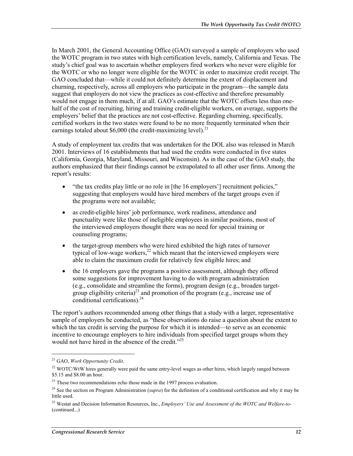In March 2001, the General Accounting Office (GAO) surveyed a sample of employers who used the WOTC program in two states with high certification levels, namely, California and Texas. The study's chief goal was to ascertain whether employers fired workers who never were eligible for the WOTC or who no longer were eligible for the WOTC in order to maximize credit receipt. The GAO concluded that—while it could not definitely determine the extent of displacement and churning, respectively, across all employers who participate in the program—the sample data suggest that employers do not view the practices as cost-effective and therefore presumably would not engage in them much, if at all. GAO's estimate that the WOTC offsets less than onehalf of the cost of recruiting, hiring and training credit-eligible workers, on average, supports the employers' belief that the practices are not cost-effective. Regarding churning, specifically, certified workers in the two states were found to be no more frequently terminated when their earnings totaled about \$6,000 (the credit-maximizing level).<sup>21</sup>

A study of employment tax credits that was undertaken for the DOL also was released in March 2001. Interviews of 16 establishments that had used the credits were conducted in five states (California, Georgia, Maryland, Missouri, and Wisconsin). As in the case of the GAO study, the authors emphasized that their findings cannot be extrapolated to all other user firms. Among the report's results:

- "the tax credits play little or no role in [the 16 employers'] recruitment policies," suggesting that employers would have hired members of the target groups even if the programs were not available;
- as credit-eligible hires' job performance, work readiness, attendance and punctuality were like those of ineligible employees in similar positions, most of the interviewed employers thought there was no need for special training or counseling programs;
- the target-group members who were hired exhibited the high rates of turnover typical of low-wage workers, $2^2$  which meant that the interviewed employers were able to claim the maximum credit for relatively few eligible hires; and
- the 16 employers gave the programs a positive assessment, although they offered some suggestions for improvement having to do with program administration (e.g., consolidate and streamline the forms), program design (e.g., broaden targetgroup eligibility criteria)<sup>23</sup> and promotion of the program (e.g., increase use of conditional certifications). $24$

The report's authors recommended among other things that a study with a larger, representative sample of employers be conducted, as "these observations do raise a question about the extent to which the tax credit is serving the purpose for which it is intended—to serve as an economic incentive to encourage employers to hire individuals from specified target groups whom they would not have hired in the absence of the credit."<sup>25</sup>

<sup>21</sup> GAO, *Work Opportunity Credit*.

 $^{22}$  WOTC/WtW hires generally were paid the same entry-level wages as other hires, which largely ranged between \$5.15 and \$8.00 an hour.

<sup>&</sup>lt;sup>23</sup> These two recommendations echo those made in the 1997 process evaluation.

<sup>&</sup>lt;sup>24</sup> See the section on Program Administration (*supra*) for the definition of a conditional certification and why it may be little used.

<sup>25</sup> Westat and Decision Information Resources, Inc., *Employers' Use and Assessment of the WOTC and Welfare-to-* (continued...)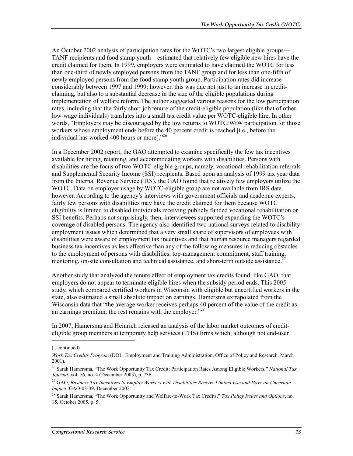An October 2002 analysis of participation rates for the WOTC's two largest eligible groups— TANF recipients and food stamp youth—estimated that relatively few eligible new hires have the credit claimed for them. In 1999, employers were estimated to have claimed the WOTC for less than one-third of newly employed persons from the TANF group and for less than one-fifth of newly employed persons from the food stamp youth group. Participation rates did increase considerably between 1997 and 1999; however, this was due not just to an increase in creditclaiming, but also to a substantial decrease in the size of the eligible populations during implementation of welfare reform. The author suggested various reasons for the low participation rates, including that the fairly short job tenure of the credit-eligible population (like that of other low-wage individuals) translates into a small tax credit value per WOTC-eligible hire. In other words, "Employers may be discouraged by the low returns to WOTC/WtW participation for those workers whose employment ends before the 40 percent credit is reached [i.e., before the individual has worked 400 hours or more]."26

In a December 2002 report, the GAO attempted to examine specifically the few tax incentives available for hiring, retaining, and accommodating workers with disabilities. Persons with disabilities are the focus of two WOTC-eligible groups, namely, vocational rehabilitation referrals and Supplemental Security Income (SSI) recipients. Based upon an analysis of 1999 tax year data from the Internal Revenue Service (IRS), the GAO found that relatively few employers utilize the WOTC. Data on employer usage by WOTC-eligible group are not available from IRS data, however. According to the agency's interviews with government officials and academic experts, fairly few persons with disabilities may have the credit claimed for them because WOTC eligibility is limited to disabled individuals receiving publicly funded vocational rehabilitation or SSI benefits. Perhaps not surprisingly, then, interviewees supported expanding the WOTC's coverage of disabled persons. The agency also identified two national surveys related to disability employment issues which determined that a very small share of supervisors of employees with disabilities were aware of employment tax incentives and that human resource managers regarded business tax incentives as less effective than any of the following measures in reducing obstacles to the employment of persons with disabilities: top-management commitment, staff training, mentoring, on-site consultation and technical assistance, and short-term outside assistance.<sup>2</sup>

Another study that analyzed the tenure effect of employment tax credits found, like GAO, that employers do not appear to terminate eligible hires when the subsidy period ends. This 2005 study, which compared certified workers in Wisconsin with eligible but uncertified workers in the state, also estimated a small absolute impact on earnings. Hamersma extrapolated from the Wisconsin data that "the average worker receives perhaps 40 percent of the value of the credit as an earnings premium; the rest remains with the employer."<sup>28</sup>

In 2007, Hamersma and Heinrich released an analysis of the labor market outcomes of crediteligible group members at temporary help services (THS) firms which, although not end-user

<sup>(...</sup>continued)

*Work Tax Credits Program* (DOL, Employment and Training Administration, Office of Policy and Research, March 2001).

<sup>26</sup> Sarah Hamersma, "The Work Opportunity Tax Credit: Participation Rates Among Eligible Workers," *National Tax Journal*, vol. 56, no. 4 (December 2003), p. 736.

<sup>27</sup> GAO, *Business Tax Incentives to Employ Workers with Disabilities Receive Limited Use and Have an Uncertain Impact*, GAO-03-39, December 2002.

<sup>28</sup> Sarah Hamersma, "The Work Opportunity and Welfare-to-Work Tax Credits," *Tax Policy Issues and Options*, no. 15, October 2005, p. 5.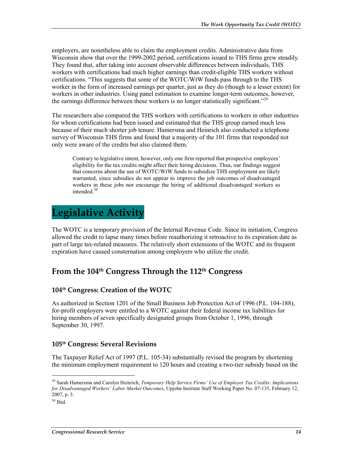employers, are nonetheless able to claim the employment credits. Administrative data from Wisconsin show that over the 1999-2002 period, certifications issued to THS firms grew steadily. They found that, after taking into account observable differences between individuals, THS workers with certifications had much higher earnings than credit-eligible THS workers without certifications. "This suggests that some of the WOTC/WtW funds pass through to the THS worker in the form of increased earnings per quarter, just as they do (though to a lesser extent) for workers in other industries. Using panel estimation to examine longer-term outcomes, however, the earnings difference between these workers is no longer statistically significant."<sup>29</sup>

The researchers also compared the THS workers with certifications to workers in other industries for whom certifications had been issued and estimated that the THS group earned much less because of their much shorter job tenure. Hamersma and Heinrich also conducted a telephone survey of Wisconsin THS firms and found that a majority of the 101 firms that responded not only were aware of the credits but also claimed them.

Contrary to legislative intent, however, only one firm reported that prospective employees' eligibility for the tax credits might affect their hiring decisions. Thus, our findings suggest that concerns about the use of WOTC/WtW funds to subsidize THS employment are likely warranted, since subsidies do not appear to improve the job outcomes of disadvantaged workers in these jobs nor encourage the hiring of additional disadvantaged workers as intended.<sup>30</sup>

## **Legislative Activity**

The WOTC is a temporary provision of the Internal Revenue Code. Since its initiation, Congress allowed the credit to lapse many times before reauthorizing it retroactive to its expiration date as part of large tax-related measures. The relatively short extensions of the WOTC and its frequent expiration have caused consternation among employers who utilize the credit.

### **From the 104th Congress Through the 112th Congress**

#### **104th Congress: Creation of the WOTC**

As authorized in Section 1201 of the Small Business Job Protection Act of 1996 (P.L. 104-188), for-profit employers were entitled to a WOTC against their federal income tax liabilities for hiring members of seven specifically designated groups from October 1, 1996, through September 30, 1997.

#### **105th Congress: Several Revisions**

The Taxpayer Relief Act of 1997 (P.L. 105-34) substantially revised the program by shortening the minimum employment requirement to 120 hours and creating a two-tier subsidy based on the

<sup>29</sup> Sarah Hamersma and Carolyn Heinrich, *Temporary Help Service Firms' Use of Employer Tax Credits: Implications for Disadvantaged Workers' Labor Market Outcomes*, Upjohn Institute Staff Working Paper No. 07-135, February 12, 2007, p. 5.

 $30$  Ibid.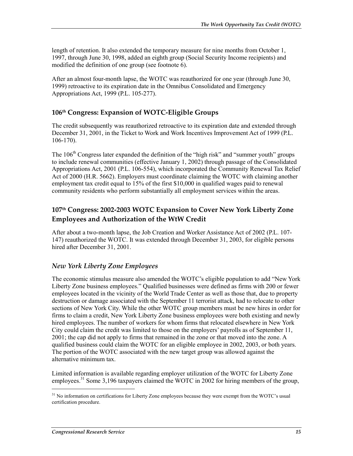length of retention. It also extended the temporary measure for nine months from October 1, 1997, through June 30, 1998, added an eighth group (Social Security Income recipients) and modified the definition of one group (see footnote 6).

After an almost four-month lapse, the WOTC was reauthorized for one year (through June 30, 1999) retroactive to its expiration date in the Omnibus Consolidated and Emergency Appropriations Act, 1999 (P.L. 105-277).

#### **106th Congress: Expansion of WOTC-Eligible Groups**

The credit subsequently was reauthorized retroactive to its expiration date and extended through December 31, 2001, in the Ticket to Work and Work Incentives Improvement Act of 1999 (P.L. 106-170).

The  $106<sup>th</sup>$  Congress later expanded the definition of the "high risk" and "summer youth" groups to include renewal communities (effective January 1, 2002) through passage of the Consolidated Appropriations Act, 2001 (P.L. 106-554), which incorporated the Community Renewal Tax Relief Act of 2000 (H.R. 5662). Employers must coordinate claiming the WOTC with claiming another employment tax credit equal to 15% of the first \$10,000 in qualified wages paid to renewal community residents who perform substantially all employment services within the areas.

#### **107th Congress: 2002-2003 WOTC Expansion to Cover New York Liberty Zone Employees and Authorization of the WtW Credit**

After about a two-month lapse, the Job Creation and Worker Assistance Act of 2002 (P.L. 107- 147) reauthorized the WOTC. It was extended through December 31, 2003, for eligible persons hired after December 31, 2001.

#### *New York Liberty Zone Employees*

The economic stimulus measure also amended the WOTC's eligible population to add "New York Liberty Zone business employees." Qualified businesses were defined as firms with 200 or fewer employees located in the vicinity of the World Trade Center as well as those that, due to property destruction or damage associated with the September 11 terrorist attack, had to relocate to other sections of New York City. While the other WOTC group members must be new hires in order for firms to claim a credit, New York Liberty Zone business employees were both existing and newly hired employees. The number of workers for whom firms that relocated elsewhere in New York City could claim the credit was limited to those on the employers' payrolls as of September 11, 2001; the cap did not apply to firms that remained in the zone or that moved into the zone. A qualified business could claim the WOTC for an eligible employee in 2002, 2003, or both years. The portion of the WOTC associated with the new target group was allowed against the alternative minimum tax.

Limited information is available regarding employer utilization of the WOTC for Liberty Zone employees.<sup>31</sup> Some 3,196 taxpayers claimed the WOTC in 2002 for hiring members of the group,

<sup>&</sup>lt;sup>31</sup> No information on certifications for Liberty Zone employees because they were exempt from the WOTC's usual certification procedure.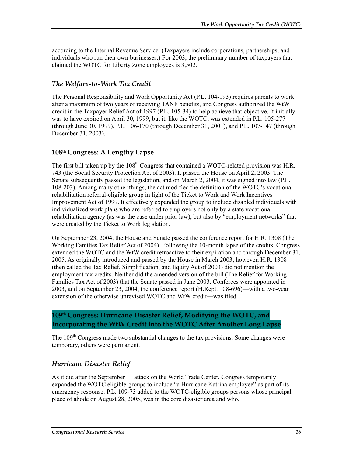according to the Internal Revenue Service. (Taxpayers include corporations, partnerships, and individuals who run their own businesses.) For 2003, the preliminary number of taxpayers that claimed the WOTC for Liberty Zone employees is 3,502.

#### *The Welfare-to-Work Tax Credit*

The Personal Responsibility and Work Opportunity Act (P.L. 104-193) requires parents to work after a maximum of two years of receiving TANF benefits, and Congress authorized the WtW credit in the Taxpayer Relief Act of 1997 (P.L. 105-34) to help achieve that objective. It initially was to have expired on April 30, 1999, but it, like the WOTC, was extended in P.L. 105-277 (through June 30, 1999), P.L. 106-170 (through December 31, 2001), and P.L. 107-147 (through December 31, 2003).

#### **108th Congress: A Lengthy Lapse**

The first bill taken up by the 108<sup>th</sup> Congress that contained a WOTC-related provision was H.R. 743 (the Social Security Protection Act of 2003). It passed the House on April 2, 2003. The Senate subsequently passed the legislation, and on March 2, 2004, it was signed into law (P.L. 108-203). Among many other things, the act modified the definition of the WOTC's vocational rehabilitation referral-eligible group in light of the Ticket to Work and Work Incentives Improvement Act of 1999. It effectively expanded the group to include disabled individuals with individualized work plans who are referred to employers not only by a state vocational rehabilitation agency (as was the case under prior law), but also by "employment networks" that were created by the Ticket to Work legislation.

On September 23, 2004, the House and Senate passed the conference report for H.R. 1308 (The Working Families Tax Relief Act of 2004). Following the 10-month lapse of the credits, Congress extended the WOTC and the WtW credit retroactive to their expiration and through December 31, 2005. As originally introduced and passed by the House in March 2003, however, H.R. 1308 (then called the Tax Relief, Simplification, and Equity Act of 2003) did not mention the employment tax credits. Neither did the amended version of the bill (The Relief for Working Families Tax Act of 2003) that the Senate passed in June 2003. Conferees were appointed in 2003, and on September 23, 2004, the conference report (H.Rept. 108-696)—with a two-year extension of the otherwise unrevised WOTC and WtW credit—was filed.

#### **109th Congress: Hurricane Disaster Relief, Modifying the WOTC, and Incorporating the WtW Credit into the WOTC After Another Long Lapse**

The 109<sup>th</sup> Congress made two substantial changes to the tax provisions. Some changes were temporary, others were permanent.

#### *Hurricane Disaster Relief*

As it did after the September 11 attack on the World Trade Center, Congress temporarily expanded the WOTC eligible-groups to include "a Hurricane Katrina employee" as part of its emergency response. P.L. 109-73 added to the WOTC-eligible groups persons whose principal place of abode on August 28, 2005, was in the core disaster area and who,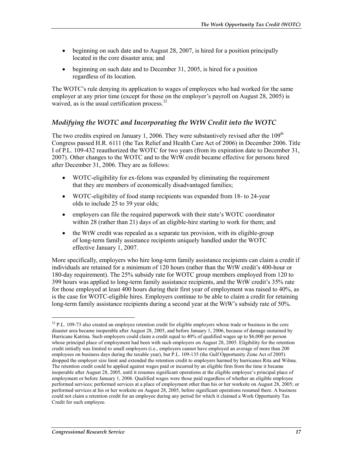- beginning on such date and to August 28, 2007, is hired for a position principally located in the core disaster area; and
- beginning on such date and to December 31, 2005, is hired for a position regardless of its location.

The WOTC's rule denying its application to wages of employees who had worked for the same employer at any prior time (except for those on the employer's payroll on August 28, 2005) is waived, as is the usual certification process. $32$ 

#### *Modifying the WOTC and Incorporating the WtW Credit into the WOTC*

The two credits expired on January 1, 2006. They were substantively revised after the  $109<sup>th</sup>$ Congress passed H.R. 6111 (the Tax Relief and Health Care Act of 2006) in December 2006. Title I of P.L. 109-432 reauthorized the WOTC for two years (from its expiration date to December 31, 2007). Other changes to the WOTC and to the WtW credit became effective for persons hired after December 31, 2006. They are as follows:

- WOTC-eligibility for ex-felons was expanded by eliminating the requirement that they are members of economically disadvantaged families;
- WOTC-eligibility of food stamp recipients was expanded from 18- to 24-year olds to include 25 to 39 year olds;
- employers can file the required paperwork with their state's WOTC coordinator within 28 (rather than 21) days of an eligible-hire starting to work for them; and
- the WtW credit was repealed as a separate tax provision, with its eligible-group of long-term family assistance recipients uniquely handled under the WOTC effective January 1, 2007.

More specifically, employers who hire long-term family assistance recipients can claim a credit if individuals are retained for a minimum of 120 hours (rather than the WtW credit's 400-hour or 180-day requirement). The 25% subsidy rate for WOTC group members employed from 120 to 399 hours was applied to long-term family assistance recipients, and the WtW credit's 35% rate for those employed at least 400 hours during their first year of employment was raised to 40%, as is the case for WOTC-eligible hires. Employers continue to be able to claim a credit for retaining long-term family assistance recipients during a second year at the WtW's subsidy rate of 50%.

<sup>&</sup>lt;sup>32</sup> P.L. 109-73 also created an employee retention credit for eligible employers whose trade or business in the core disaster area became inoperable after August 28, 2005, and before January 1, 2006, because of damage sustained by Hurricane Katrina. Such employers could claim a credit equal to 40% of qualified wages up to \$6,000 per person whose principal place of employment had been with such employers on August 28, 2005. Eligibility for the retention credit initially was limited to small employers (i.e., employers cannot have employed an average of more than 200 employees on business days during the taxable year), but P.L. 109-135 (the Gulf Opportunity Zone Act of 2005) dropped the employer size limit and extended the retention credit to employers harmed by hurricanes Rita and Wilma. The retention credit could be applied against wages paid or incurred by an eligible firm from the time it became inoperable after August 28, 2005, until it resumes significant operations at the eligible employee's principal place of employment or before January 1, 2006. Qualified wages were those paid regardless of whether an eligible employee performed services; performed services at a place of employment other than his or her worksite on August 28, 2005; or performed services at his or her worksite on August 28, 2005, before significant operations resumed there. A business could not claim a retention credit for an employee during any period for which it claimed a Work Opportunity Tax Credit for such employee.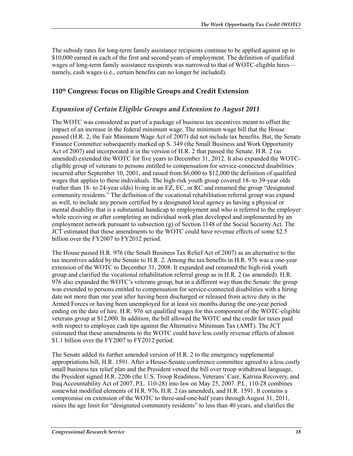The subsidy rates for long-term family assistance recipients continue to be applied against up to \$10,000 earned in each of the first and second years of employment. The definition of qualified wages of long-term family assistance recipients was narrowed to that of WOTC-eligible hires namely, cash wages (i.e., certain benefits can no longer be included).

#### **110th Congress: Focus on Eligible Groups and Credit Extension**

#### *Expansion of Certain Eligible Groups and Extension to August 2011*

The WOTC was considered as part of a package of business tax incentives meant to offset the impact of an increase in the federal minimum wage. The minimum wage bill that the House passed (H.R. 2, the Fair Minimum Wage Act of 2007) did not include tax benefits. But, the Senate Finance Committee subsequently marked up S. 349 (the Small Business and Work Opportunity Act of 2007) and incorporated it in the version of H.R. 2 that passed the Senate. H.R. 2 (as amended) extended the WOTC for five years to December 31, 2012. It also expanded the WOTCeligible group of veterans to persons entitled to compensation for service-connected disabilities incurred after September 10, 2001, and raised from \$6,000 to \$12,000 the definition of qualified wages that applies to these individuals. The high-risk youth group covered 18- to 39-year olds (rather than 18- to 24-year olds) living in an EZ, EC, or RC and renamed the group "designated community residents." The definition of the vocational rehabilitation referral group was expand as well, to include any person certified by a designated local agency as having a physical or mental disability that is a substantial handicap to employment and who is referred to the employer while receiving or after completing an individual work plan developed and implemented by an employment network pursuant to subsection (g) of Section 1148 of the Social Security Act. The JCT estimated that these amendments to the WOTC could have revenue effects of some \$2.5 billion over the FY2007 to FY2012 period.

The House passed H.R. 976 (the Small Business Tax Relief Act of 2007) as an alternative to the tax incentives added by the Senate to H.R. 2. Among the tax benefits in H.R. 976 was a one-year extension of the WOTC to December 31, 2008. It expanded and renamed the high-risk youth group and clarified the vocational rehabilitation referral group as in H.R. 2 (as amended). H.R. 976 also expanded the WOTC's veterans group, but in a different way than the Senate: the group was extended to persons entitled to compensation for service-connected disabilities with a hiring date not more than one year after having been discharged or released from active duty in the Armed Forces or having been unemployed for at least six months during the one-year period ending on the date of hire. H.R. 976 set qualified wages for this component of the WOTC-eligible veterans group at \$12,000. In addition, the bill allowed the WOTC and the credit for taxes paid with respect to employee cash tips against the Alternative Minimum Tax (AMT). The JCT estimated that these amendments to the WOTC could have less costly revenue effects of almost \$1.1 billion over the FY2007 to FY2012 period.

The Senate added its further amended version of H.R. 2 to the emergency supplemental appropriations bill, H.R. 1591. After a House-Senate conference committee agreed to a less costly small business tax relief plan and the President vetoed the bill over troop withdrawal language, the President signed H.R. 2206 (the U.S. Troop Readiness, Veterans' Care, Katrina Recovery, and Iraq Accountability Act of 2007, P.L. 110-28) into law on May 25, 2007. P.L. 110-28 combines somewhat modified elements of H.R. 976, H.R. 2 (as amended), and H.R. 1591. It contains a compromise on extension of the WOTC to three-and-one-half years through August 31, 2011, raises the age limit for "designated community residents" to less than 40 years, and clarifies the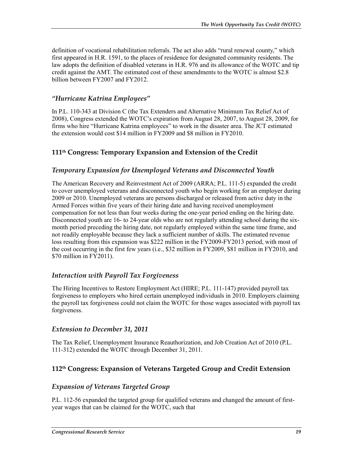definition of vocational rehabilitation referrals. The act also adds "rural renewal county," which first appeared in H.R. 1591, to the places of residence for designated community residents. The law adopts the definition of disabled veterans in H.R. 976 and its allowance of the WOTC and tip credit against the AMT. The estimated cost of these amendments to the WOTC is almost \$2.8 billion between FY2007 and FY2012.

#### *"Hurricane Katrina Employees"*

In P.L. 110-343 at Division C (the Tax Extenders and Alternative Minimum Tax Relief Act of 2008), Congress extended the WOTC's expiration from August 28, 2007, to August 28, 2009, for firms who hire "Hurricane Katrina employees" to work in the disaster area. The JCT estimated the extension would cost \$14 million in FY2009 and \$8 million in FY2010.

#### **111th Congress: Temporary Expansion and Extension of the Credit**

#### *Temporary Expansion for Unemployed Veterans and Disconnected Youth*

The American Recovery and Reinvestment Act of 2009 (ARRA; P.L. 111-5) expanded the credit to cover unemployed veterans and disconnected youth who begin working for an employer during 2009 or 2010. Unemployed veterans are persons discharged or released from active duty in the Armed Forces within five years of their hiring date and having received unemployment compensation for not less than four weeks during the one-year period ending on the hiring date. Disconnected youth are 16- to 24-year olds who are not regularly attending school during the sixmonth period preceding the hiring date, not regularly employed within the same time frame, and not readily employable because they lack a sufficient number of skills. The estimated revenue loss resulting from this expansion was \$222 million in the FY2009-FY2013 period, with most of the cost occurring in the first few years (i.e., \$32 million in FY2009, \$81 million in FY2010, and \$70 million in FY2011).

#### *Interaction with Payroll Tax Forgiveness*

The Hiring Incentives to Restore Employment Act (HIRE; P.L. 111-147) provided payroll tax forgiveness to employers who hired certain unemployed individuals in 2010. Employers claiming the payroll tax forgiveness could not claim the WOTC for those wages associated with payroll tax forgiveness.

#### *Extension to December 31, 2011*

The Tax Relief, Unemployment Insurance Reauthorization, and Job Creation Act of 2010 (P.L. 111-312) extended the WOTC through December 31, 2011.

#### **112th Congress: Expansion of Veterans Targeted Group and Credit Extension**

#### *Expansion of Veterans Targeted Group*

P.L. 112-56 expanded the targeted group for qualified veterans and changed the amount of firstyear wages that can be claimed for the WOTC, such that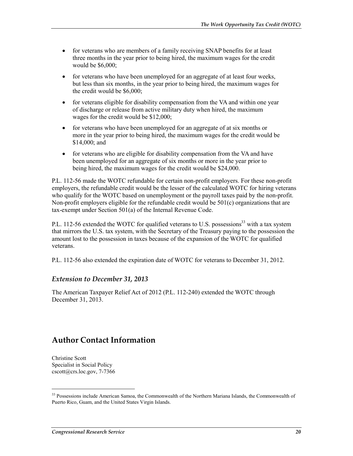- for veterans who are members of a family receiving SNAP benefits for at least three months in the year prior to being hired, the maximum wages for the credit would be \$6,000;
- for veterans who have been unemployed for an aggregate of at least four weeks, but less than six months, in the year prior to being hired, the maximum wages for the credit would be \$6,000;
- for veterans eligible for disability compensation from the VA and within one year of discharge or release from active military duty when hired, the maximum wages for the credit would be \$12,000;
- for veterans who have been unemployed for an aggregate of at six months or more in the year prior to being hired, the maximum wages for the credit would be \$14,000; and
- for veterans who are eligible for disability compensation from the VA and have been unemployed for an aggregate of six months or more in the year prior to being hired, the maximum wages for the credit would be \$24,000.

P.L. 112-56 made the WOTC refundable for certain non-profit employers. For these non-profit employers, the refundable credit would be the lesser of the calculated WOTC for hiring veterans who qualify for the WOTC based on unemployment or the payroll taxes paid by the non-profit. Non-profit employers eligible for the refundable credit would be 501(c) organizations that are tax-exempt under Section 501(a) of the Internal Revenue Code.

P.L. 112-56 extended the WOTC for qualified veterans to U.S. possessions<sup>33</sup> with a tax system that mirrors the U.S. tax system, with the Secretary of the Treasury paying to the possession the amount lost to the possession in taxes because of the expansion of the WOTC for qualified veterans.

P.L. 112-56 also extended the expiration date of WOTC for veterans to December 31, 2012.

#### *Extension to December 31, 2013*

The American Taxpayer Relief Act of 2012 (P.L. 112-240) extended the WOTC through December 31, 2013.

### **Author Contact Information**

Christine Scott Specialist in Social Policy cscott@crs.loc.gov, 7-7366

<sup>&</sup>lt;sup>33</sup> Possessions include American Samoa, the Commonwealth of the Northern Mariana Islands, the Commonwealth of Puerto Rico, Guam, and the United States Virgin Islands.